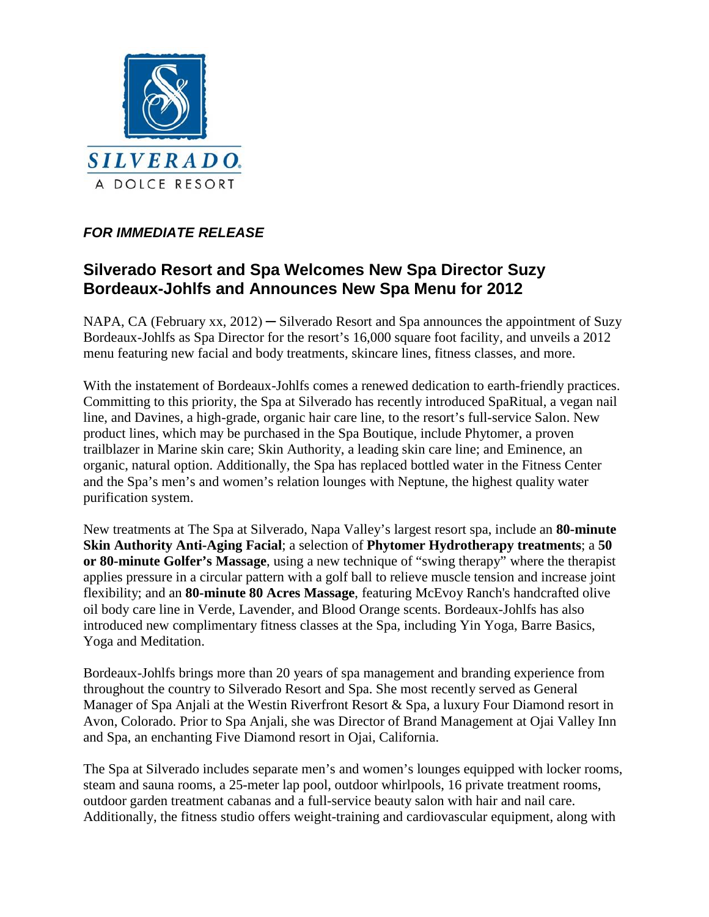

## *FOR IMMEDIATE RELEASE*

# **Silverado Resort and Spa Welcomes New Spa Director Suzy Bordeaux-Johlfs and Announces New Spa Menu for 2012**

NAPA, CA (February xx, 2012) — Silverado Resort and Spa announces the appointment of Suzy Bordeaux-Johlfs as Spa Director for the resort's 16,000 square foot facility, and unveils a 2012 menu featuring new facial and body treatments, skincare lines, fitness classes, and more.

With the instatement of Bordeaux-Johlfs comes a renewed dedication to earth-friendly practices. Committing to this priority, the Spa at Silverado has recently introduced SpaRitual, a vegan nail line, and Davines, a high-grade, organic hair care line, to the resort's full-service Salon. New product lines, which may be purchased in the Spa Boutique, include Phytomer, a proven trailblazer in Marine skin care; Skin Authority, a leading skin care line; and Eminence, an organic, natural option. Additionally, the Spa has replaced bottled water in the Fitness Center and the Spa's men's and women's relation lounges with Neptune, the highest quality water purification system.

New treatments at The Spa at Silverado, Napa Valley's largest resort spa, include an **80-minute Skin Authority Anti-Aging Facial**; a selection of **Phytomer Hydrotherapy treatments**; a **50 or 80-minute Golfer's Massage**, using a new technique of "swing therapy" where the therapist applies pressure in a circular pattern with a golf ball to relieve muscle tension and increase joint flexibility; and an **80-minute 80 Acres Massage**, featuring McEvoy Ranch's handcrafted olive oil body care line in Verde, Lavender, and Blood Orange scents. Bordeaux-Johlfs has also introduced new complimentary fitness classes at the Spa, including Yin Yoga, Barre Basics, Yoga and Meditation.

Bordeaux-Johlfs brings more than 20 years of spa management and branding experience from throughout the country to Silverado Resort and Spa. She most recently served as General Manager of Spa Anjali at the Westin Riverfront Resort & Spa, a luxury Four Diamond resort in Avon, Colorado. Prior to Spa Anjali, she was Director of Brand Management at Ojai Valley Inn and Spa, an enchanting Five Diamond resort in Ojai, California.

The Spa at Silverado includes separate men's and women's lounges equipped with locker rooms, steam and sauna rooms, a 25-meter lap pool, outdoor whirlpools, 16 private treatment rooms, outdoor garden treatment cabanas and a full-service beauty salon with hair and nail care. Additionally, the fitness studio offers weight-training and cardiovascular equipment, along with